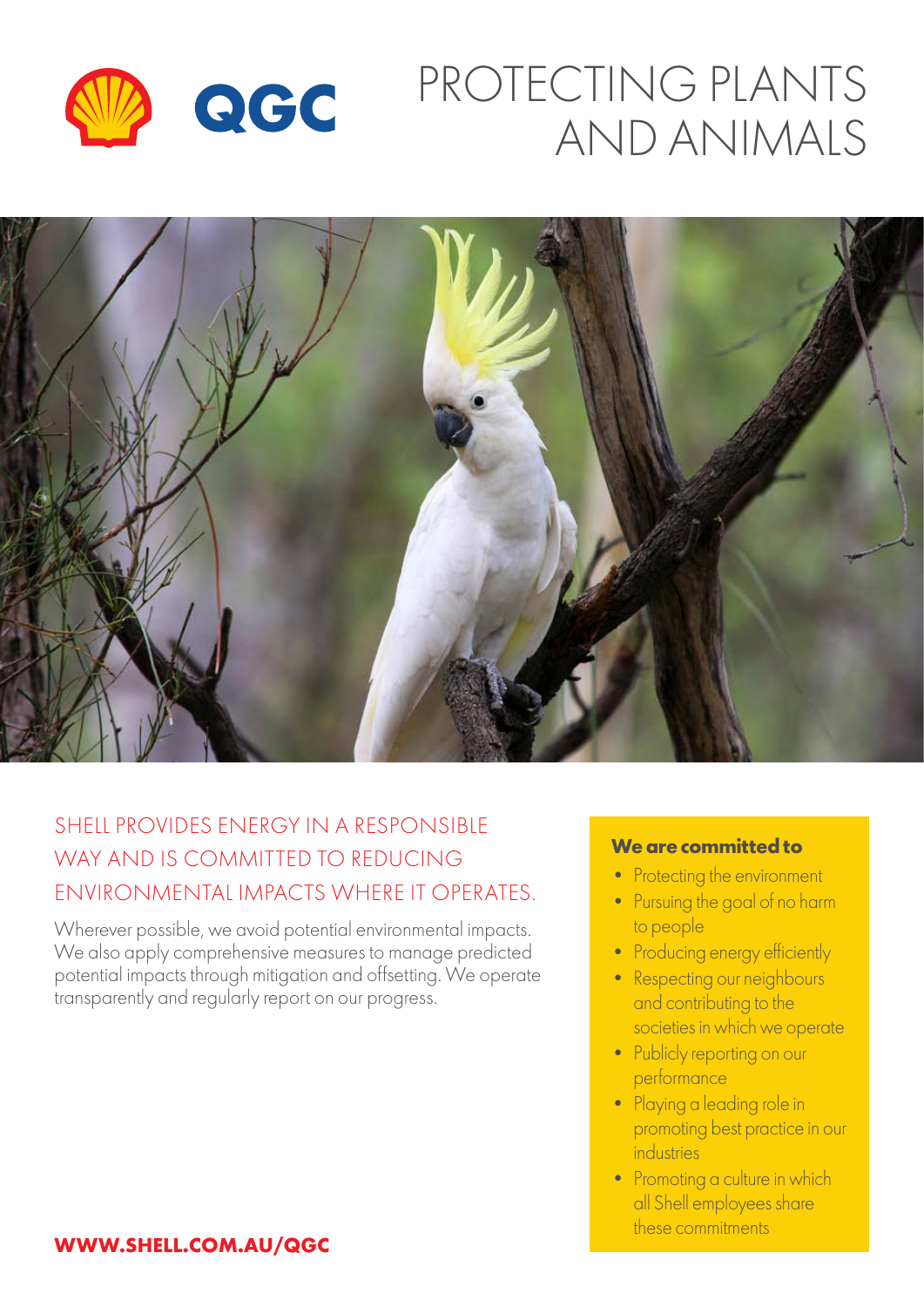

# PROTECTING PLANTS AND ANIMALS



### SHELL PROVIDES ENFRGY IN A RESPONSIBLE WAY AND IS COMMITTED TO REDUCING ENVIRONMENTAL IMPACTS WHERE IT OPERATES.

Wherever possible, we avoid potential environmental impacts. We also apply comprehensive measures to manage predicted potential impacts through mitigation and offsetting. We operate transparently and regularly report on our progress.

#### **We are committed to**

- Protecting the environment
- Pursuing the goal of no harm to people
- Producing energy efficiently
- Respecting our neighbours and contributing to the societies in which we operate
- Publicly reporting on our performance
- Playing a leading role in promoting best practice in our industries
- Promoting a culture in which all Shell employees share these commitments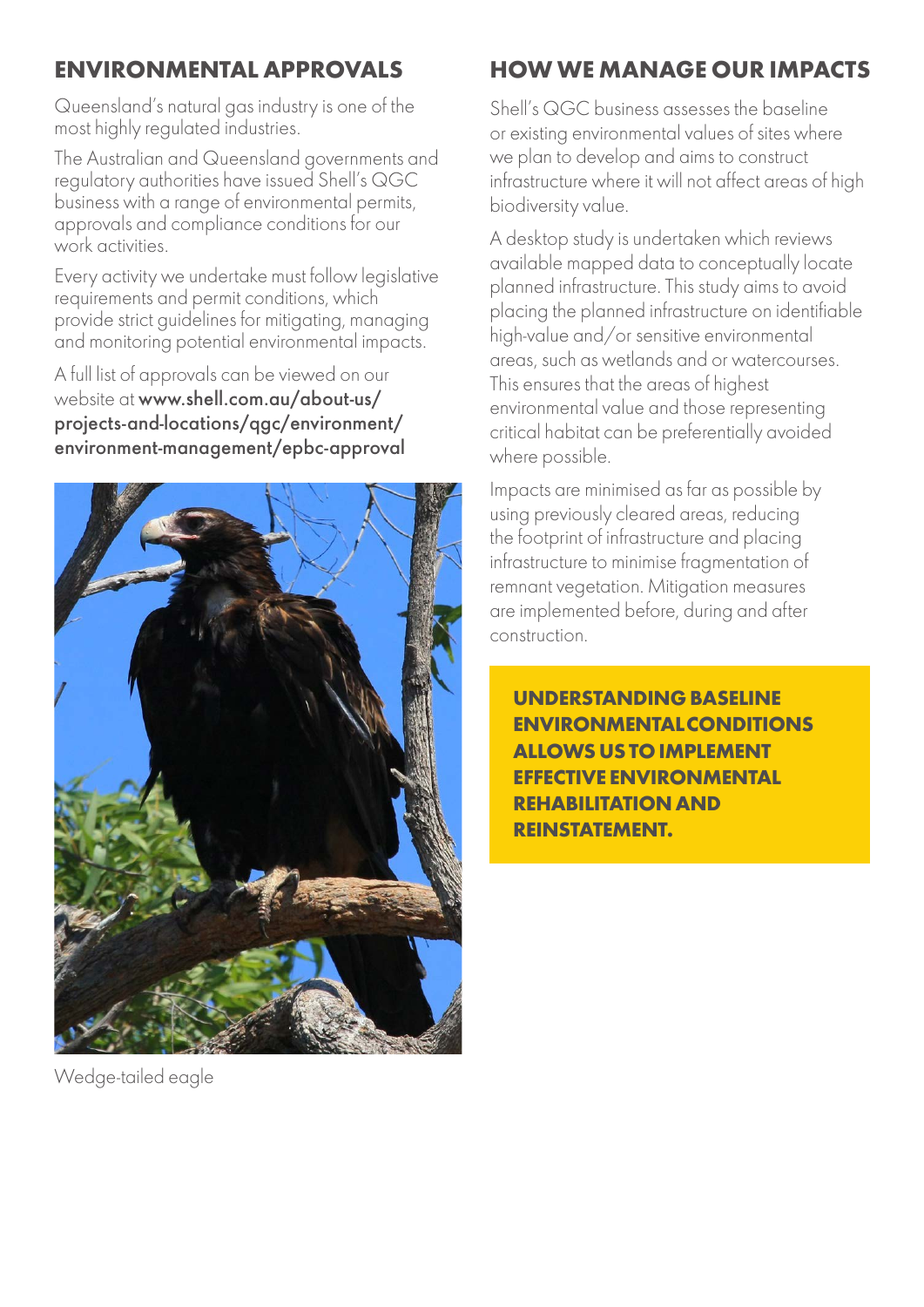### **ENVIRONMENTAL APPROVALS**

Queensland's natural gas industry is one of the most highly regulated industries.

The Australian and Queensland governments and regulatory authorities have issued Shell's QGC business with a range of environmental permits, approvals and compliance conditions for our work activities.

Every activity we undertake must follow legislative requirements and permit conditions, which provide strict guidelines for mitigating, managing and monitoring potential environmental impacts.

A full list of approvals can be viewed on our website at www.shell.com.au/about-us/ projects-and-locations/qgc/environment/ environment-management/epbc-approval



Wedge-tailed eagle

### **HOW WE MANAGE OUR IMPACTS**

Shell's QGC business assesses the baseline or existing environmental values of sites where we plan to develop and aims to construct infrastructure where it will not affect areas of high biodiversity value.

A desktop study is undertaken which reviews available mapped data to conceptually locate planned infrastructure. This study aims to avoid placing the planned infrastructure on identifiable high-value and/or sensitive environmental areas, such as wetlands and or watercourses. This ensures that the areas of highest environmental value and those representing critical habitat can be preferentially avoided where possible.

Impacts are minimised as far as possible by using previously cleared areas, reducing the footprint of infrastructure and placing infrastructure to minimise fragmentation of remnant vegetation. Mitigation measures are implemented before, during and after construction.

**UNDERSTANDING BASELINE ENVIRONMENTAL CONDITIONS ALLOWS US TO IMPLEMENT EFFECTIVE ENVIRONMENTAL REHABILITATION AND REINSTATEMENT.**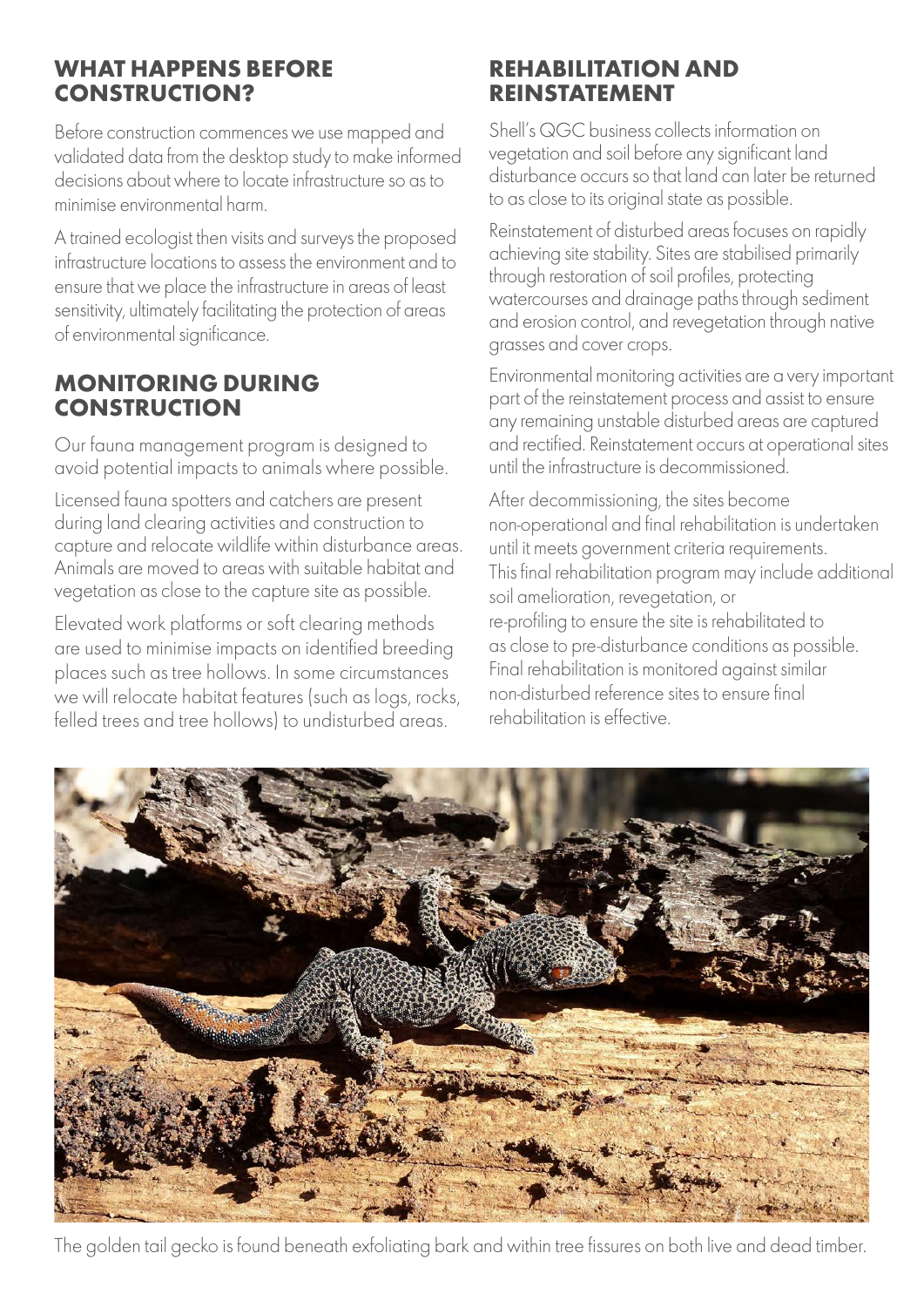### **WHAT HAPPENS BEFORE CONSTRUCTION?**

Before construction commences we use mapped and validated data from the desktop study to make informed decisions about where to locate infrastructure so as to minimise environmental harm.

A trained ecologist then visits and surveys the proposed infrastructure locations to assess the environment and to ensure that we place the infrastructure in areas of least sensitivity, ultimately facilitating the protection of areas of environmental significance.

### **MONITORING DURING CONSTRUCTION**

Our fauna management program is designed to avoid potential impacts to animals where possible.

Licensed fauna spotters and catchers are present during land clearing activities and construction to capture and relocate wildlife within disturbance areas. Animals are moved to areas with suitable habitat and vegetation as close to the capture site as possible.

Elevated work platforms or soft clearing methods are used to minimise impacts on identified breeding places such as tree hollows. In some circumstances we will relocate habitat features (such as logs, rocks, felled trees and tree hollows) to undisturbed areas.

### **REHABILITATION AND REINSTATEMENT**

Shell's QGC business collects information on vegetation and soil before any significant land disturbance occurs so that land can later be returned to as close to its original state as possible.

Reinstatement of disturbed areas focuses on rapidly achieving site stability. Sites are stabilised primarily through restoration of soil profiles, protecting watercourses and drainage paths through sediment and erosion control, and revegetation through native grasses and cover crops.

Environmental monitoring activities are a very important part of the reinstatement process and assist to ensure any remaining unstable disturbed areas are captured and rectified. Reinstatement occurs at operational sites until the infrastructure is decommissioned.

After decommissioning, the sites become non-operational and final rehabilitation is undertaken until it meets government criteria requirements. This final rehabilitation program may include additional soil amelioration, revegetation, or re-profiling to ensure the site is rehabilitated to as close to pre-disturbance conditions as possible. Final rehabilitation is monitored against similar non-disturbed reference sites to ensure final rehabilitation is effective.



The golden tail gecko is found beneath exfoliating bark and within tree fissures on both live and dead timber.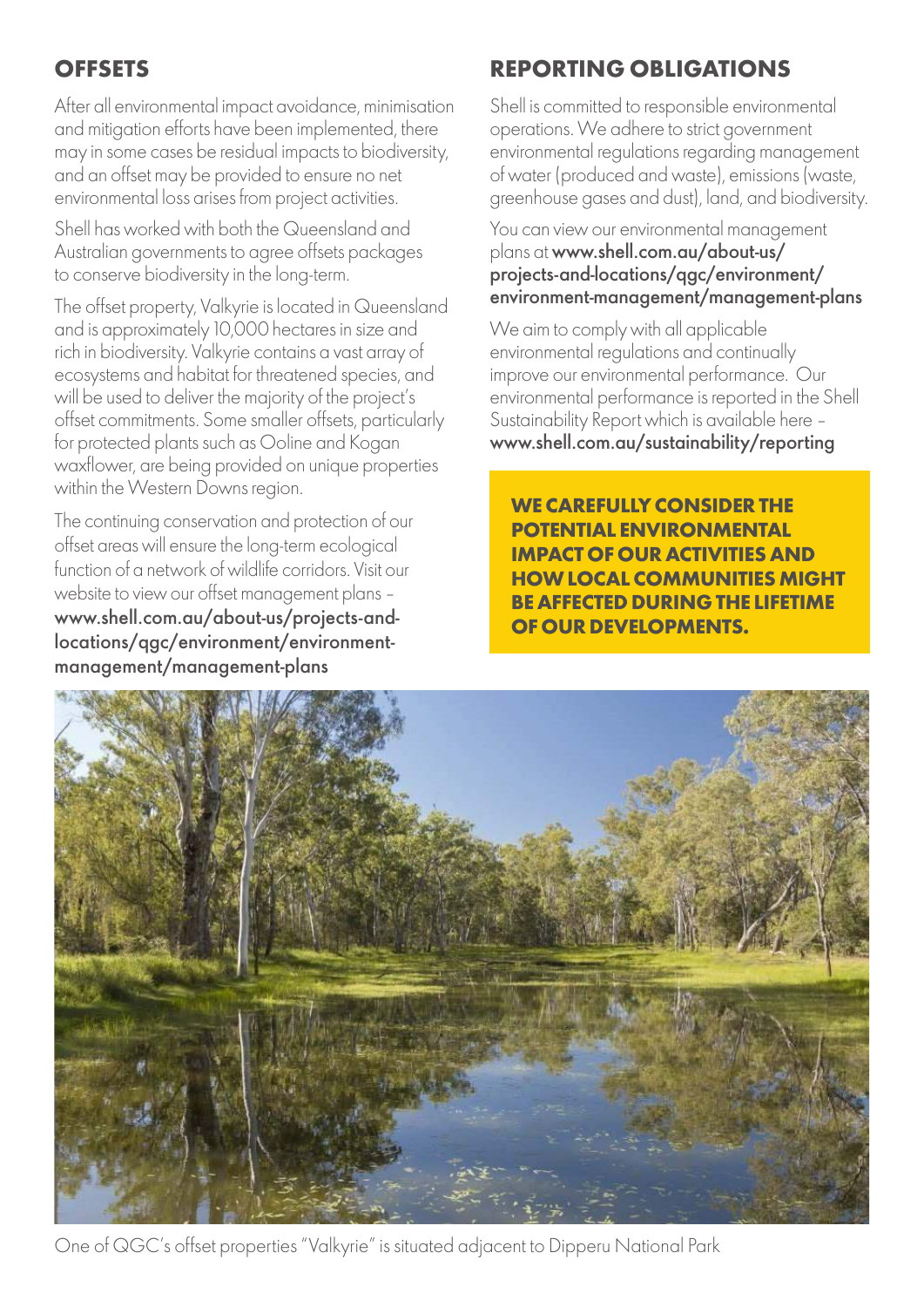### **OFFSETS**

After all environmental impact avoidance, minimisation and mitigation efforts have been implemented, there may in some cases be residual impacts to biodiversity, and an offset may be provided to ensure no net environmental loss arises from project activities.

Shell has worked with both the Queensland and Australian governments to agree offsets packages to conserve biodiversity in the long-term.

The offset property, Valkyrie is located in Queensland and is approximately 10,000 hectares in size and rich in biodiversity. Valkyrie contains a vast array of ecosystems and habitat for threatened species, and will be used to deliver the majority of the project's offset commitments. Some smaller offsets, particularly for protected plants such as Ooline and Kogan waxflower, are being provided on unique properties within the Western Downs region.

The continuing conservation and protection of our offset areas will ensure the long-term ecological function of a network of wildlife corridors. Visit our website to view our offset management plans – www.shell.com.au/about-us/projects-andlocations/qgc/environment/environmentmanagement/management-plans

### **REPORTING OBLIGATIONS**

Shell is committed to responsible environmental operations. We adhere to strict government environmental regulations regarding management of water (produced and waste), emissions (waste, greenhouse gases and dust), land, and biodiversity.

#### You can view our environmental management plans at www.shell.com.au/about-us/ projects-and-locations/qgc/environment/ environment-management/management-plans

We aim to comply with all applicable environmental regulations and continually improve our environmental performance. Our environmental performance is reported in the Shell Sustainability Report which is available here – www.shell.com.au/sustainability/reporting

**WE CAREFULLY CONSIDER THE POTENTIAL ENVIRONMENTAL IMPACT OF OUR ACTIVITIES AND HOW LOCAL COMMUNITIES MIGHT BE AFFECTED DURING THE LIFETIME OF OUR DEVELOPMENTS.**



One of QGC's offset properties "Valkyrie" is situated adjacent to Dipperu National Park